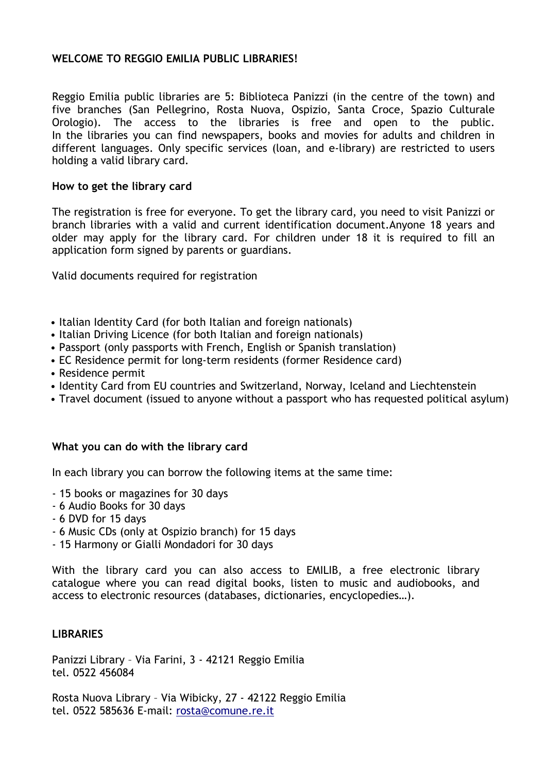## **WELCOME TO REGGIO EMILIA PUBLIC LIBRARIES!**

Reggio Emilia public libraries are 5: Biblioteca Panizzi (in the centre of the town) and five branches (San Pellegrino, Rosta Nuova, Ospizio, Santa Croce, Spazio Culturale Orologio). The access to the libraries is free and open to the public. In the libraries you can find newspapers, books and movies for adults and children in different languages. Only specific services (loan, and e-library) are restricted to users holding a valid library card.

## **How to get the library card**

The registration is free for everyone. To get the library card, you need to visit Panizzi or branch libraries with a valid and current identification document.Anyone 18 years and older may apply for the library card. For children under 18 it is required to fill an application form signed by parents or guardians.

Valid documents required for registration

- Italian Identity Card (for both Italian and foreign nationals)
- Italian Driving Licence (for both Italian and foreign nationals)
- Passport (only passports with French, English or Spanish translation)
- EC Residence permit for long-term residents (former Residence card)
- Residence permit
- Identity Card from EU countries and Switzerland, Norway, Iceland and Liechtenstein
- Travel document (issued to anyone without a passport who has requested political asylum)

## **What you can do with the library card**

In each library you can borrow the following items at the same time:

- 15 books or magazines for 30 days
- 6 Audio Books for 30 days
- 6 DVD for 15 days
- 6 Music CDs (only at Ospizio branch) for 15 days
- 15 Harmony or Gialli Mondadori for 30 days

With the library card you can also access to EMILIB, a free electronic library catalogue where you can read digital books, listen to music and audiobooks, and access to electronic resources (databases, dictionaries, encyclopedies…).

## **LIBRARIES**

Panizzi Library – Via Farini, 3 - 42121 Reggio Emilia tel. 0522 456084

Rosta Nuova Library – Via Wibicky, 27 - 42122 Reggio Emilia tel. 0522 585636 E-mail[: rosta@comune.re.it](mailto:rosta@municipio.re.it)